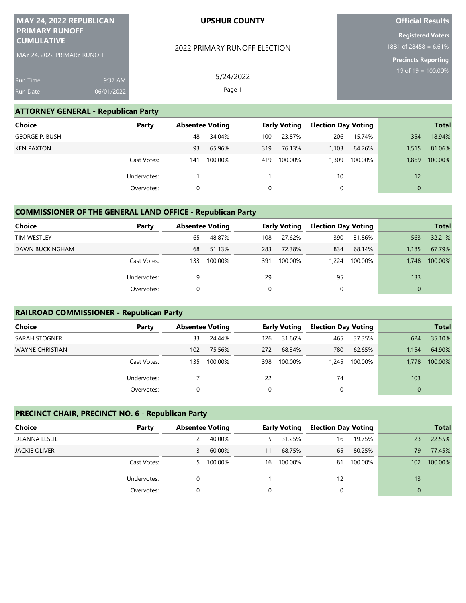| MAY 24, 2022 REPUBLICAN<br><b>PRIMARY RUNOFF</b><br><b>CUMULATIVE</b><br>MAY 24, 2022 PRIMARY RUNOFF |                                            | <b>UPSHUR COUNTY</b>         | <b>Official Results</b>                                         |  |  |  |
|------------------------------------------------------------------------------------------------------|--------------------------------------------|------------------------------|-----------------------------------------------------------------|--|--|--|
|                                                                                                      |                                            |                              | <b>Registered Voters</b><br>1881 of $284\overline{58} = 6.61\%$ |  |  |  |
|                                                                                                      |                                            | 2022 PRIMARY RUNOFF ELECTION | <b>Precincts Reporting</b>                                      |  |  |  |
| <u>Ru</u> n Time                                                                                     | 9:37 AM                                    | 5/24/2022                    | 19 of $19 = 100.00\%$                                           |  |  |  |
| Run Date                                                                                             | 06/01/2022                                 | Page 1                       |                                                                 |  |  |  |
|                                                                                                      | <b>ATTORNEY GENERAL - Republican Party</b> |                              |                                                                 |  |  |  |

| <b>Choice</b>         | Party       | <b>Absentee Voting</b> |         |     | <b>Early Voting</b> | <b>Election Day Voting</b> |         |                 | <b>Total</b> |
|-----------------------|-------------|------------------------|---------|-----|---------------------|----------------------------|---------|-----------------|--------------|
| <b>GEORGE P. BUSH</b> |             | 48                     | 34.04%  | 100 | 23.87%              | 206                        | 15.74%  | 354             | 18.94%       |
| <b>KEN PAXTON</b>     |             | 93                     | 65.96%  | 319 | 76.13%              | 1.103                      | 84.26%  | 1.515           | 81.06%       |
|                       | Cast Votes: | 141                    | 100.00% | 419 | 100.00%             | 1,309                      | 100.00% | 1.869           | 100.00%      |
|                       | Undervotes: |                        |         |     |                     | 10                         |         | 12 <sup>°</sup> |              |
|                       | Overvotes:  |                        |         | 0   |                     | 0                          |         | $\Omega$        |              |

## **COMMISSIONER OF THE GENERAL LAND OFFICE - Republican Party**

| Choice             | Party       | <b>Absentee Voting</b> |         | <b>Early Voting</b> |         | <b>Election Day Voting</b> |         |          | <b>Total</b> |
|--------------------|-------------|------------------------|---------|---------------------|---------|----------------------------|---------|----------|--------------|
| <b>TIM WESTLEY</b> |             | 65                     | 48.87%  | 108                 | 27.62%  | 390                        | 31.86%  | 563      | 32.21%       |
| DAWN BUCKINGHAM    |             | 68                     | 51.13%  | 283                 | 72.38%  | 834                        | 68.14%  | 1.185    | 67.79%       |
|                    | Cast Votes: | 133                    | 100.00% | 391                 | 100.00% | 1.224                      | 100.00% | 1.748    | 100.00%      |
|                    | Undervotes: | 9                      |         | 29                  |         | 95                         |         | 133      |              |
|                    | Overvotes:  | 0                      |         |                     |         | 0                          |         | $\Omega$ |              |

## **RAILROAD COMMISSIONER - Republican Party**

| <b>Choice</b>   | Party       | <b>Absentee Voting</b> |         |     | <b>Early Voting</b> | <b>Election Day Voting</b> |         |          | <b>Total</b> |
|-----------------|-------------|------------------------|---------|-----|---------------------|----------------------------|---------|----------|--------------|
| SARAH STOGNER   |             | 33                     | 24.44%  | 126 | 31.66%              | 465                        | 37.35%  | 624      | 35.10%       |
| WAYNE CHRISTIAN |             | 102                    | 75.56%  | 272 | 68.34%              | 780                        | 62.65%  | 1.154    | 64.90%       |
|                 | Cast Votes: | 135                    | 100.00% | 398 | 100.00%             | 1.245                      | 100.00% | 1.778    | 100.00%      |
|                 | Undervotes: |                        |         | 22  |                     | 74                         |         | 103      |              |
|                 | Overvotes:  |                        |         | 0   |                     |                            |         | $\Omega$ |              |

## **PRECINCT CHAIR, PRECINCT NO. 6 - Republican Party**

| <b>Choice</b><br>Party |    | <b>Absentee Voting</b> |    | <b>Early Voting</b> | <b>Election Day Voting</b> |         |          | <b>Total</b> |
|------------------------|----|------------------------|----|---------------------|----------------------------|---------|----------|--------------|
| DEANNA LESLIE          |    | 40.00%                 | 5. | 31.25%              | 16                         | 19.75%  | 23       | 22.55%       |
| <b>JACKIE OLIVER</b>   | 3  | 60.00%                 | 11 | 68.75%              | 65                         | 80.25%  | 79       | 77.45%       |
| Cast Votes:            | 5. | 100.00%                | 16 | 100.00%             | 81                         | 100.00% | 102      | 100.00%      |
| Undervotes:            |    |                        |    |                     | 12                         |         | 13       |              |
| Overvotes:             |    |                        | 0  |                     |                            |         | $\Omega$ |              |